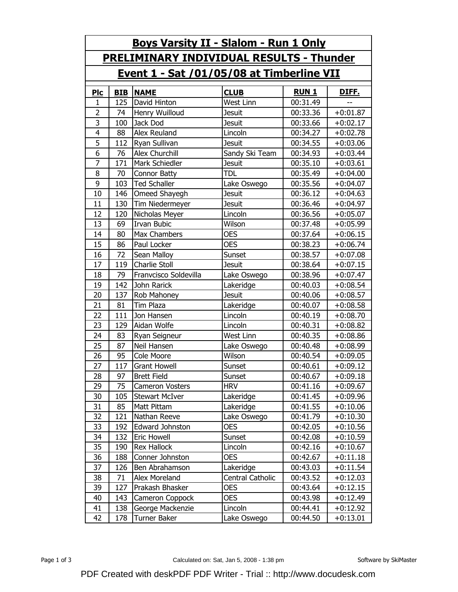| <b>Boys Varsity II - Slalom - Run 1 Only</b>    |            |                       |                  |              |              |  |  |  |
|-------------------------------------------------|------------|-----------------------|------------------|--------------|--------------|--|--|--|
| <b>PRELIMINARY INDIVIDUAL RESULTS - Thunder</b> |            |                       |                  |              |              |  |  |  |
| Event 1 - Sat /01/05/08 at Timberline VII       |            |                       |                  |              |              |  |  |  |
| <b>Plc</b>                                      | <b>BIB</b> | <b>NAME</b>           | <b>CLUB</b>      | <b>RUN 1</b> | <u>DIFF.</u> |  |  |  |
| 1                                               | 125        | David Hinton          | West Linn        | 00:31.49     |              |  |  |  |
| $\overline{2}$                                  | 74         | Henry Wuilloud        | <b>Jesuit</b>    | 00:33.36     | $+0:01.87$   |  |  |  |
| 3                                               | 100        | Jack Dod              | <b>Jesuit</b>    | 00:33.66     | $+0:02.17$   |  |  |  |
| 4                                               | 88         | Alex Reuland          | Lincoln          | 00:34.27     | $+0:02.78$   |  |  |  |
| 5                                               | 112        | Ryan Sullivan         | <b>Jesuit</b>    | 00:34.55     | $+0:03.06$   |  |  |  |
| 6                                               | 76         | Alex Churchill        | Sandy Ski Team   | 00:34.93     | $+0:03.44$   |  |  |  |
| $\overline{7}$                                  | 171        | Mark Schiedler        | <b>Jesuit</b>    | 00:35.10     | $+0:03.61$   |  |  |  |
| 8                                               | 70         | <b>Connor Batty</b>   | <b>TDL</b>       | 00:35.49     | $+0:04.00$   |  |  |  |
| 9                                               | 103        | <b>Ted Schaller</b>   | Lake Oswego      | 00:35.56     | $+0:04.07$   |  |  |  |
| 10                                              | 146        | Omeed Shayegh         | <b>Jesuit</b>    | 00:36.12     | $+0:04.63$   |  |  |  |
| 11                                              | 130        | Tim Niedermeyer       | <b>Jesuit</b>    | 00:36.46     | $+0:04.97$   |  |  |  |
| 12                                              | 120        | Nicholas Meyer        | Lincoln          | 00:36.56     | $+0:05.07$   |  |  |  |
| 13                                              | 69         | <b>Irvan Bubic</b>    | Wilson           | 00:37.48     | $+0:05.99$   |  |  |  |
| 14                                              | 80         | Max Chambers          | <b>OES</b>       | 00:37.64     | $+0:06.15$   |  |  |  |
| 15                                              | 86         | Paul Locker           | <b>OES</b>       | 00:38.23     | $+0:06.74$   |  |  |  |
| 16                                              | 72         | Sean Malloy           | Sunset           | 00:38.57     | $+0:07.08$   |  |  |  |
| 17                                              | 119        | <b>Charlie Stoll</b>  | <b>Jesuit</b>    | 00:38.64     | $+0:07.15$   |  |  |  |
| 18                                              | 79         | Franvcisco Soldevilla | Lake Oswego      | 00:38.96     | $+0:07.47$   |  |  |  |
| 19                                              | 142        | John Rarick           | Lakeridge        | 00:40.03     | $+0:08.54$   |  |  |  |
| 20                                              | 137        | Rob Mahoney           | <b>Jesuit</b>    | 00:40.06     | $+0:08.57$   |  |  |  |
| 21                                              | 81         | <b>Tim Plaza</b>      | Lakeridge        | 00:40.07     | $+0:08.58$   |  |  |  |
| 22                                              | 111        | Jon Hansen            | Lincoln          | 00:40.19     | $+0:08.70$   |  |  |  |
| 23                                              | 129        | Aidan Wolfe           | Lincoln          | 00:40.31     | $+0:08.82$   |  |  |  |
| 24                                              | 83         | Ryan Seigneur         | West Linn        | 00:40.35     | $+0:08.86$   |  |  |  |
| 25                                              | 87         | Neil Hansen           | Lake Oswego      | 00:40.48     | $+0:08.99$   |  |  |  |
| 26                                              | 95         | Cole Moore            | Wilson           | 00:40.54     | $+0:09.05$   |  |  |  |
| 27                                              | 117        | <b>Grant Howell</b>   | Sunset           | 00:40.61     | $+0:09.12$   |  |  |  |
| 28                                              | 97         | <b>Brett Field</b>    | Sunset           | 00:40.67     | $+0:09.18$   |  |  |  |
| 29                                              | 75         | Cameron Vosters       | <b>HRV</b>       | 00:41.16     | $+0:09.67$   |  |  |  |
| 30                                              | 105        | <b>Stewart McIver</b> | Lakeridge        | 00:41.45     | $+0:09.96$   |  |  |  |
| 31                                              | 85         | Matt Pittam           | Lakeridge        | 00:41.55     | $+0:10.06$   |  |  |  |
| 32                                              | 121        | Nathan Reeve          | Lake Oswego      | 00:41.79     | $+0:10.30$   |  |  |  |
| 33                                              | 192        | Edward Johnston       | <b>OES</b>       | 00:42.05     | $+0:10.56$   |  |  |  |
| 34                                              | 132        | Eric Howell           | Sunset           | 00:42.08     | $+0:10.59$   |  |  |  |
| 35                                              | 190        | <b>Rex Hallock</b>    | Lincoln          | 00:42.16     | $+0:10.67$   |  |  |  |
| 36                                              | 188        | Conner Johnston       | <b>OES</b>       | 00:42.67     | $+0:11.18$   |  |  |  |
| 37                                              | 126        | Ben Abrahamson        | Lakeridge        | 00:43.03     | $+0:11.54$   |  |  |  |
| 38                                              | 71         | Alex Moreland         | Central Catholic | 00:43.52     | $+0:12.03$   |  |  |  |
| 39                                              | 127        | Prakash Bhasker       | <b>OES</b>       | 00:43.64     | $+0:12.15$   |  |  |  |
| 40                                              | 143        | Cameron Coppock       | <b>OES</b>       | 00:43.98     | $+0:12.49$   |  |  |  |
| 41                                              | 138        | George Mackenzie      | Lincoln          | 00:44.41     | $+0:12.92$   |  |  |  |
| 42                                              | 178        | Turner Baker          | Lake Oswego      | 00:44.50     | $+0:13.01$   |  |  |  |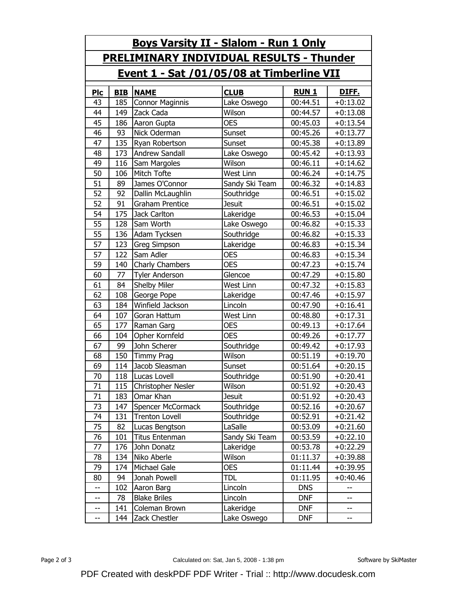| <u>Boys Varsity II - Slalom - Run 1 Only</u>    |            |                        |                |              |            |  |  |  |  |
|-------------------------------------------------|------------|------------------------|----------------|--------------|------------|--|--|--|--|
| <b>PRELIMINARY INDIVIDUAL RESULTS - Thunder</b> |            |                        |                |              |            |  |  |  |  |
| Event 1 - Sat /01/05/08 at Timberline VII       |            |                        |                |              |            |  |  |  |  |
| <u>Pic</u>                                      | <b>BIB</b> | <b>NAME</b>            | <b>CLUB</b>    | <b>RUN 1</b> | DIFF.      |  |  |  |  |
| 43                                              | 185        | <b>Connor Maginnis</b> | Lake Oswego    | 00:44.51     | $+0:13.02$ |  |  |  |  |
| 44                                              | 149        | Zack Cada              | Wilson         | 00:44.57     | $+0:13.08$ |  |  |  |  |
| 45                                              | 186        | Aaron Gupta            | <b>OES</b>     | 00:45.03     | $+0:13.54$ |  |  |  |  |
| 46                                              | 93         | Nick Oderman           | Sunset         | 00:45.26     | $+0:13.77$ |  |  |  |  |
| 47                                              | 135        | Ryan Robertson         | Sunset         | 00:45.38     | $+0:13.89$ |  |  |  |  |
| 48                                              | 173        | <b>Andrew Sandall</b>  | Lake Oswego    | 00:45.42     | $+0:13.93$ |  |  |  |  |
| 49                                              | 116        | Sam Margoles           | Wilson         | 00:46.11     | $+0:14.62$ |  |  |  |  |
| 50                                              | 106        | Mitch Tofte            | West Linn      | 00:46.24     | $+0:14.75$ |  |  |  |  |
| 51                                              | 89         | James O'Connor         | Sandy Ski Team | 00:46.32     | $+0:14.83$ |  |  |  |  |
| 52                                              | 92         | Dallin McLaughlin      | Southridge     | 00:46.51     | $+0:15.02$ |  |  |  |  |
| 52                                              | 91         | <b>Graham Prentice</b> | <b>Jesuit</b>  | 00:46.51     | $+0:15.02$ |  |  |  |  |
| 54                                              | 175        | Jack Carlton           | Lakeridge      | 00:46.53     | $+0:15.04$ |  |  |  |  |
| 55                                              | 128        | Sam Worth              | Lake Oswego    | 00:46.82     | $+0:15.33$ |  |  |  |  |
| 55                                              | 136        | Adam Tycksen           | Southridge     | 00:46.82     | $+0:15.33$ |  |  |  |  |
| 57                                              | 123        | Greg Simpson           | Lakeridge      | 00:46.83     | $+0:15.34$ |  |  |  |  |
| 57                                              | 122        | Sam Adler              | <b>OES</b>     | 00:46.83     | $+0:15.34$ |  |  |  |  |
| 59                                              | 140        | Charly Chambers        | <b>OES</b>     | 00:47.23     | $+0:15.74$ |  |  |  |  |
| 60                                              | 77         | <b>Tyler Anderson</b>  | Glencoe        | 00:47.29     | $+0:15.80$ |  |  |  |  |
| 61                                              | 84         | Shelby Miler           | West Linn      | 00:47.32     | $+0:15.83$ |  |  |  |  |
| 62                                              | 108        | George Pope            | Lakeridge      | 00:47.46     | $+0:15.97$ |  |  |  |  |
| 63                                              | 184        | Winfield Jackson       | Lincoln        | 00:47.90     | $+0:16.41$ |  |  |  |  |
| 64                                              | 107        | Goran Hattum           | West Linn      | 00:48.80     | $+0:17.31$ |  |  |  |  |
| 65                                              | 177        | Raman Garg             | <b>OES</b>     | 00:49.13     | $+0:17.64$ |  |  |  |  |
| 66                                              | 104        | Opher Kornfeld         | <b>OES</b>     | 00:49.26     | $+0:17.77$ |  |  |  |  |
| 67                                              | 99         | John Scherer           | Southridge     | 00:49.42     | $+0:17.93$ |  |  |  |  |
| 68                                              | 150        | <b>Timmy Prag</b>      | Wilson         | 00:51.19     | $+0:19.70$ |  |  |  |  |
| 69                                              | 114        | Jacob Sleasman         | Sunset         | 00:51.64     | $+0:20.15$ |  |  |  |  |
| 70                                              | 118        | Lucas Lovell           | Southridge     | 00:51.90     | $+0:20.41$ |  |  |  |  |
| 71                                              | 115        | Christopher Nesler     | Wilson         | 00:51.92     | $+0:20.43$ |  |  |  |  |
| 71                                              | 183        | Omar Khan              | <b>Jesuit</b>  | 00:51.92     | $+0:20.43$ |  |  |  |  |
| 73                                              | 147        | Spencer McCormack      | Southridge     | 00:52.16     | $+0:20.67$ |  |  |  |  |
| 74                                              | 131        | <b>Trenton Lovell</b>  | Southridge     | 00:52.91     | $+0:21.42$ |  |  |  |  |
| 75                                              | 82         | Lucas Bengtson         | LaSalle        | 00:53.09     | $+0:21.60$ |  |  |  |  |
| 76                                              | 101        | <b>Titus Entenman</b>  | Sandy Ski Team | 00:53.59     | $+0:22.10$ |  |  |  |  |
| 77                                              | 176        | John Donatz            | Lakeridge      | 00:53.78     | $+0:22.29$ |  |  |  |  |
| 78                                              | 134        | Niko Aberle            | Wilson         | 01:11.37     | $+0:39.88$ |  |  |  |  |
| 79                                              | 174        | Michael Gale           | <b>OES</b>     | 01:11.44     | $+0:39.95$ |  |  |  |  |
| 80                                              | 94         | Jonah Powell           | <b>TDL</b>     | 01:11.95     | $+0:40.46$ |  |  |  |  |
| --                                              | 102        | Aaron Barg             | Lincoln        | <b>DNS</b>   | --         |  |  |  |  |
| $\overline{\phantom{a}}$                        | 78         | <b>Blake Briles</b>    | Lincoln        | <b>DNF</b>   | --         |  |  |  |  |
| --                                              | 141        | Coleman Brown          | Lakeridge      | <b>DNF</b>   | --         |  |  |  |  |
| --                                              | 144        | Zack Chestler          | Lake Oswego    | <b>DNF</b>   | --         |  |  |  |  |